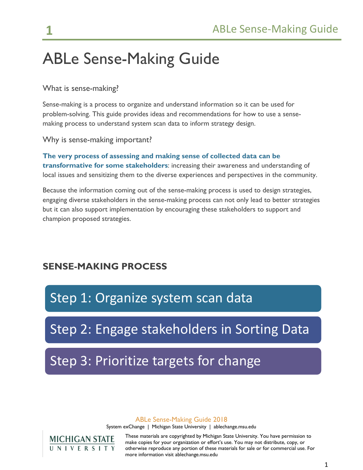# ABLe Sense-Making Guide

What is sense-making?

Sense-making is a process to organize and understand information so it can be used for problem-solving. This guide provides ideas and recommendations for how to use a sensemaking process to understand system scan data to inform strategy design.

Why is sense-making important?

**The very process of assessing and making sense of collected data can be transformative for some stakeholders**: increasing their awareness and understanding of local issues and sensitizing them to the diverse experiences and perspectives in the community.

Because the information coming out of the sense-making process is used to design strategies, engaging diverse stakeholders in the sense-making process can not only lead to better strategies but it can also support implementation by encouraging these stakeholders to support and champion proposed strategies.

## **SENSE-MAKING PROCESS**

Step 1: Organize system scan data

Step 2: Engage stakeholders in Sorting Data

Step 3: Prioritize targets for change

#### ABLe Sense-Making Guide 2018

System exChange | Michigan State University | ablechange.msu.edu

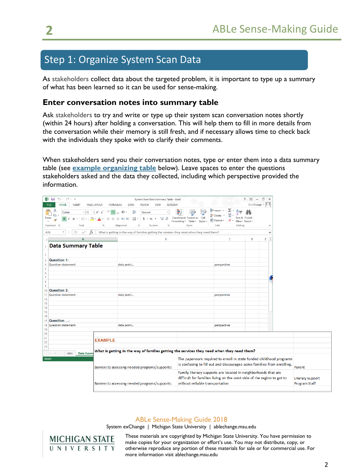## Step 1: Organize System Scan Data

As stakeholders collect data about the targeted problem, it is important to type up a summary of what has been learned so it can be used for sense-making.

## **Enter conversation notes into summary table**

Ask stakeholders to try and write or type up their system scan conversation notes shortly (within 24 hours) after holding a conversation. This will help them to fill in more details from the conversation while their memory is still fresh, and if necessary allows time to check back with the individuals they spoke with to clarify their comments.

When stakeholders send you their conversation notes, type or enter them into a data summary table (see **[example organizing table](http://systemexchange.org/download_file/76/0)** below). Leave spaces to enter the questions stakeholders asked and the data they collected, including which perspective provided the information.

| <b>XII</b>                             | ち・ ペ・・        |                     |                   |                      |                                                                                            |                           |                                            |                | System Scan Data Summary Table - Excel |              |                                  |          |                                                                                            |                         |         | $2 - 151$                          | $\frac{1}{2} \left( \frac{1}{2} \right) \left( \frac{1}{2} \right) \left( \frac{1}{2} \right) \left( \frac{1}{2} \right) \left( \frac{1}{2} \right) \left( \frac{1}{2} \right) \left( \frac{1}{2} \right) \left( \frac{1}{2} \right) \left( \frac{1}{2} \right) \left( \frac{1}{2} \right) \left( \frac{1}{2} \right) \left( \frac{1}{2} \right) \left( \frac{1}{2} \right) \left( \frac{1}{2} \right) \left( \frac{1}{2} \right) \left( \frac{1}{2} \right) \left( \frac$ | o | $\times$            |                                                                        |                         |
|----------------------------------------|---------------|---------------------|-------------------|----------------------|--------------------------------------------------------------------------------------------|---------------------------|--------------------------------------------|----------------|----------------------------------------|--------------|----------------------------------|----------|--------------------------------------------------------------------------------------------|-------------------------|---------|------------------------------------|----------------------------------------------------------------------------------------------------------------------------------------------------------------------------------------------------------------------------------------------------------------------------------------------------------------------------------------------------------------------------------------------------------------------------------------------------------------------------|---|---------------------|------------------------------------------------------------------------|-------------------------|
| <b>HOME</b><br><b>FILE</b>             | <b>INSERT</b> |                     | PAGE LAYOUT       | <b>FORMULAS</b>      |                                                                                            | DATA                      | <b>REVIEW</b>                              | VIEW           | <b>ACROBAT</b>                         |              |                                  |          |                                                                                            |                         |         |                                    | Erin Droege *                                                                                                                                                                                                                                                                                                                                                                                                                                                              |   |                     |                                                                        |                         |
| Ť<br>öб<br>Calibri                     |               | 12 <br>$\mathbf{r}$ | A<br>$\mathsf{A}$ | $\equiv$<br>$\equiv$ | $\frac{1}{2}$ .                                                                            | ₽                         | General                                    |                |                                        |              |                                  |          | em Insert                                                                                  | Σ                       | A       |                                    |                                                                                                                                                                                                                                                                                                                                                                                                                                                                            |   |                     |                                                                        |                         |
| h                                      |               |                     |                   |                      | $=$                                                                                        |                           |                                            |                |                                        |              |                                  |          | <b>Ex</b> Delete                                                                           | $\overline{\mathbf{v}}$ |         |                                    |                                                                                                                                                                                                                                                                                                                                                                                                                                                                            |   |                     |                                                                        |                         |
| Paste<br>$\,$ B                        |               | 围                   |                   | $\equiv$             | 石石<br>三                                                                                    | 目                         | \$<br>$\frac{0}{6}$<br>$\scriptstyle\rm w$ | $\overline{ }$ | $\frac{4-0}{00}$ $\frac{00}{40}$       | Formatting * | Conditional Format as<br>Table * | Styles - | Format ~                                                                                   | €                       |         | Sort & Find &<br>Filter * Select * |                                                                                                                                                                                                                                                                                                                                                                                                                                                                            |   |                     |                                                                        |                         |
| Clipboard G                            |               | Font                | Гý,               |                      | Alignment                                                                                  | $\overline{\mathbb{F}_M}$ |                                            | Number         | G.                                     |              | Styles                           |          | Cells                                                                                      |                         | Editing |                                    |                                                                                                                                                                                                                                                                                                                                                                                                                                                                            |   | $\hat{\phantom{a}}$ |                                                                        |                         |
| $\overline{\phantom{a}}$               |               |                     |                   |                      |                                                                                            |                           |                                            |                |                                        |              |                                  |          |                                                                                            |                         |         |                                    |                                                                                                                                                                                                                                                                                                                                                                                                                                                                            |   |                     |                                                                        |                         |
| A28                                    |               | fx                  |                   |                      | What is getting in the way of families getting the services they need when they need them? |                           |                                            |                |                                        |              |                                  |          |                                                                                            |                         |         |                                    |                                                                                                                                                                                                                                                                                                                                                                                                                                                                            |   | $\checkmark$        |                                                                        |                         |
|                                        |               | Α                   |                   |                      |                                                                                            |                           |                                            |                | B                                      |              |                                  |          |                                                                                            | $\mathsf{C}$            |         |                                    | D                                                                                                                                                                                                                                                                                                                                                                                                                                                                          | E | <b>A</b>            |                                                                        |                         |
| <b>Data Summary Table</b>              |               |                     |                   |                      |                                                                                            |                           |                                            |                |                                        |              |                                  |          |                                                                                            |                         |         |                                    |                                                                                                                                                                                                                                                                                                                                                                                                                                                                            |   |                     |                                                                        |                         |
|                                        |               |                     |                   |                      |                                                                                            |                           |                                            |                |                                        |              |                                  |          |                                                                                            |                         |         |                                    |                                                                                                                                                                                                                                                                                                                                                                                                                                                                            |   |                     |                                                                        |                         |
| $\overline{2}$                         |               |                     |                   |                      |                                                                                            |                           |                                            |                |                                        |              |                                  |          |                                                                                            |                         |         |                                    |                                                                                                                                                                                                                                                                                                                                                                                                                                                                            |   |                     |                                                                        |                         |
| Question 1:<br>$\overline{\mathbf{3}}$ |               |                     |                   |                      |                                                                                            |                           |                                            |                |                                        |              |                                  |          |                                                                                            |                         |         |                                    |                                                                                                                                                                                                                                                                                                                                                                                                                                                                            |   |                     |                                                                        |                         |
| $\overline{4}$<br>Question statement:  |               |                     |                   |                      | data point                                                                                 |                           |                                            |                |                                        |              |                                  |          |                                                                                            | perspective             |         |                                    |                                                                                                                                                                                                                                                                                                                                                                                                                                                                            |   |                     |                                                                        |                         |
| $\overline{\mathbf{5}}$                |               |                     |                   |                      |                                                                                            |                           |                                            |                |                                        |              |                                  |          |                                                                                            |                         |         |                                    |                                                                                                                                                                                                                                                                                                                                                                                                                                                                            |   |                     |                                                                        |                         |
| $\boldsymbol{6}$<br>$\overline{7}$     |               |                     |                   |                      |                                                                                            |                           |                                            |                |                                        |              |                                  |          |                                                                                            |                         |         |                                    |                                                                                                                                                                                                                                                                                                                                                                                                                                                                            |   |                     |                                                                        |                         |
| 8                                      |               |                     |                   |                      |                                                                                            |                           |                                            |                |                                        |              |                                  |          |                                                                                            |                         |         |                                    |                                                                                                                                                                                                                                                                                                                                                                                                                                                                            |   |                     |                                                                        |                         |
| $\overline{9}$                         |               |                     |                   |                      |                                                                                            |                           |                                            |                |                                        |              |                                  |          |                                                                                            |                         |         |                                    |                                                                                                                                                                                                                                                                                                                                                                                                                                                                            |   |                     |                                                                        |                         |
| Question 2:<br>10                      |               |                     |                   |                      |                                                                                            |                           |                                            |                |                                        |              |                                  |          |                                                                                            |                         |         |                                    |                                                                                                                                                                                                                                                                                                                                                                                                                                                                            |   |                     |                                                                        |                         |
| 11<br><b>Question statement:</b>       |               |                     |                   |                      | data point                                                                                 |                           |                                            |                |                                        |              |                                  |          | perspective                                                                                |                         |         |                                    |                                                                                                                                                                                                                                                                                                                                                                                                                                                                            |   |                     |                                                                        |                         |
| 12                                     |               |                     |                   |                      |                                                                                            |                           |                                            |                |                                        |              |                                  |          |                                                                                            |                         |         |                                    |                                                                                                                                                                                                                                                                                                                                                                                                                                                                            |   |                     |                                                                        |                         |
| 13                                     |               |                     |                   |                      |                                                                                            |                           |                                            |                |                                        |              |                                  |          |                                                                                            |                         |         |                                    |                                                                                                                                                                                                                                                                                                                                                                                                                                                                            |   |                     |                                                                        |                         |
| 14                                     |               |                     |                   |                      |                                                                                            |                           |                                            |                |                                        |              |                                  |          |                                                                                            |                         |         |                                    |                                                                                                                                                                                                                                                                                                                                                                                                                                                                            |   |                     |                                                                        |                         |
| 15                                     |               |                     |                   |                      |                                                                                            |                           |                                            |                |                                        |              |                                  |          |                                                                                            |                         |         |                                    |                                                                                                                                                                                                                                                                                                                                                                                                                                                                            |   |                     |                                                                        |                         |
| 16<br>Question :<br>17                 |               |                     |                   |                      |                                                                                            |                           |                                            |                |                                        |              |                                  |          |                                                                                            |                         |         |                                    |                                                                                                                                                                                                                                                                                                                                                                                                                                                                            |   |                     |                                                                        |                         |
| 18<br>Question statement:              |               |                     |                   |                      | data point                                                                                 |                           |                                            |                |                                        |              |                                  |          |                                                                                            | perspective             |         |                                    |                                                                                                                                                                                                                                                                                                                                                                                                                                                                            |   |                     |                                                                        |                         |
| 19                                     |               |                     |                   |                      |                                                                                            |                           |                                            |                |                                        |              |                                  |          |                                                                                            |                         |         |                                    |                                                                                                                                                                                                                                                                                                                                                                                                                                                                            |   |                     |                                                                        |                         |
| 20                                     |               |                     |                   |                      |                                                                                            |                           |                                            |                |                                        |              |                                  |          |                                                                                            |                         |         |                                    |                                                                                                                                                                                                                                                                                                                                                                                                                                                                            |   |                     |                                                                        |                         |
| $\overline{21}$                        |               |                     | <b>EXAMPLE</b>    |                      |                                                                                            |                           |                                            |                |                                        |              |                                  |          |                                                                                            |                         |         |                                    |                                                                                                                                                                                                                                                                                                                                                                                                                                                                            |   |                     |                                                                        |                         |
| 22                                     |               |                     |                   |                      |                                                                                            |                           |                                            |                |                                        |              |                                  |          |                                                                                            |                         |         |                                    |                                                                                                                                                                                                                                                                                                                                                                                                                                                                            |   |                     |                                                                        |                         |
| 23<br>$\sim$                           |               |                     |                   |                      |                                                                                            |                           |                                            |                |                                        |              |                                  |          |                                                                                            |                         |         |                                    |                                                                                                                                                                                                                                                                                                                                                                                                                                                                            |   |                     |                                                                        |                         |
| $\sim$                                 | Intro         | <b>Data Sumn</b>    |                   |                      |                                                                                            |                           |                                            |                |                                        |              |                                  |          | What is getting in the way of families getting the services they need when they need them? |                         |         |                                    |                                                                                                                                                                                                                                                                                                                                                                                                                                                                            |   |                     |                                                                        |                         |
| <b>READY</b>                           |               |                     |                   |                      |                                                                                            |                           |                                            |                |                                        |              |                                  |          |                                                                                            |                         |         |                                    |                                                                                                                                                                                                                                                                                                                                                                                                                                                                            |   |                     | The paperwork required to enroll in state funded childhood programs    |                         |
|                                        |               |                     |                   |                      |                                                                                            |                           |                                            |                |                                        |              |                                  |          |                                                                                            |                         |         |                                    |                                                                                                                                                                                                                                                                                                                                                                                                                                                                            |   |                     | is confusing to fill out and discourages some families from enrolling. |                         |
|                                        |               |                     |                   |                      | Barriers to accessing needed programs/supports:                                            |                           |                                            |                |                                        |              |                                  |          |                                                                                            |                         |         |                                    |                                                                                                                                                                                                                                                                                                                                                                                                                                                                            |   |                     |                                                                        | Parent                  |
|                                        |               |                     |                   |                      |                                                                                            |                           |                                            |                |                                        |              |                                  |          | Family literacy supports are located in neighborhoods that are                             |                         |         |                                    |                                                                                                                                                                                                                                                                                                                                                                                                                                                                            |   |                     |                                                                        |                         |
|                                        |               |                     |                   |                      |                                                                                            |                           |                                            |                |                                        |              |                                  |          | difficult for families living on the west side of the region to get to                     |                         |         |                                    |                                                                                                                                                                                                                                                                                                                                                                                                                                                                            |   |                     |                                                                        | <b>Literacy Support</b> |
|                                        |               |                     |                   |                      | Barriers to accessing needed programs/supports:                                            |                           |                                            |                |                                        |              |                                  |          | without reliable transportation                                                            |                         |         |                                    |                                                                                                                                                                                                                                                                                                                                                                                                                                                                            |   |                     |                                                                        | <b>Program Staff</b>    |
|                                        |               |                     |                   |                      |                                                                                            |                           |                                            |                |                                        |              |                                  |          |                                                                                            |                         |         |                                    |                                                                                                                                                                                                                                                                                                                                                                                                                                                                            |   |                     |                                                                        |                         |
|                                        |               |                     |                   |                      |                                                                                            |                           |                                            |                |                                        |              |                                  |          |                                                                                            |                         |         |                                    |                                                                                                                                                                                                                                                                                                                                                                                                                                                                            |   |                     |                                                                        |                         |

### ABLe Sense-Making Guide 2018

System exChange | Michigan State University | ablechange.msu.edu

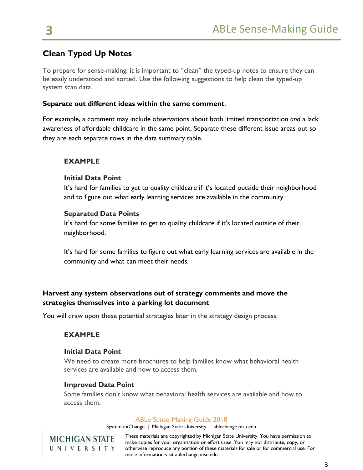## **Clean Typed Up Notes**

To prepare for sense-making, it is important to "clean" the typed-up notes to ensure they can be easily understood and sorted. Use the following suggestions to help clean the typed-up system scan data.

### **Separate out different ideas within the same comment**.

For example, a comment may include observations about both limited transportation *and* a lack awareness of affordable childcare in the same point. Separate these different issue areas out so they are each separate rows in the data summary table.

## **EXAMPLE**

## **Initial Data Point**

It's hard for families to get to quality childcare if it's located outside their neighborhood and to figure out what early learning services are available in the community.

## **Separated Data Points**

It's hard for some families to get to quality childcare if it's located outside of their neighborhood.

It's hard for some families to figure out what early learning services are available in the community and what can meet their needs.

## **Harvest any system observations out of strategy comments and move the strategies themselves into a parking lot document**

You will draw upon these potential strategies later in the strategy design process.

## **EXAMPLE**

### **Initial Data Point**

We need to create more brochures to help families know what behavioral health services are available and how to access them.

### **Improved Data Point**

Some families don't know what behavioral health services are available and how to access them.

### ABLe Sense-Making Guide 2018

System exChange | Michigan State University | ablechange.msu.edu

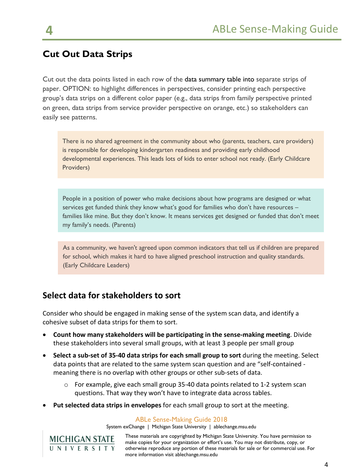## **Cut Out Data Strips**

Cut out the data points listed in each row of the data summary table into separate strips of paper. OPTION: to highlight differences in perspectives, consider printing each perspective group's data strips on a different color paper (e.g., data strips from family perspective printed on green, data strips from service provider perspective on orange, etc.) so stakeholders can easily see patterns.

There is no shared agreement in the community about who (parents, teachers, care providers) is responsible for developing kindergarten readiness and providing early childhood developmental experiences. This leads lots of kids to enter school not ready. (Early Childcare Providers)

People in a position of power who make decisions about how programs are designed or what services get funded think they know what's good for families who don't have resources – families like mine. But they don't know. It means services get designed or funded that don't meet my family's needs. (Parents)

As a community, we haven't agreed upon common indicators that tell us if children are prepared for school, which makes it hard to have aligned preschool instruction and quality standards. (Early Childcare Leaders)

## **Select data for stakeholders to sort**

Consider who should be engaged in making sense of the system scan data, and identify a cohesive subset of data strips for them to sort.

- **Count how many stakeholders will be participating in the sense-making meeting**. Divide these stakeholders into several small groups, with at least 3 people per small group
- **Select a sub-set of 35-40 data strips for each small group to sort** during the meeting. Select data points that are related to the same system scan question and are "self-contained meaning there is no overlap with other groups or other sub-sets of data.
	- o For example, give each small group 35-40 data points related to 1-2 system scan questions. That way they won't have to integrate data across tables.
- **Put selected data strips in envelopes** for each small group to sort at the meeting.

#### ABLe Sense-Making Guide 2018

System exChange | Michigan State University | ablechange.msu.edu

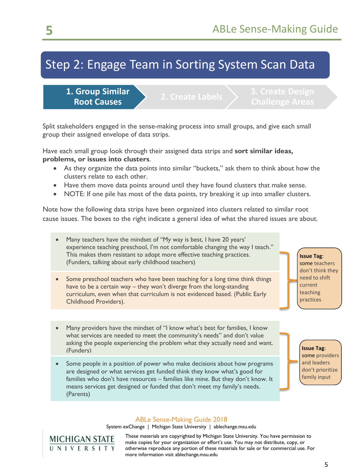# Step 2: Engage Team in Sorting System Scan Data

**1. Group Similar Root Causes 2. Create Labels 2. Create Design** 

Split stakeholders engaged in the sense-making process into small groups, and give each small group their assigned envelope of data strips.

Have each small group look through their assigned data strips and **sort similar ideas, problems, or issues into clusters**.

- As they organize the data points into similar "buckets," ask them to think about how the clusters relate to each other.
- Have them move data points around until they have found clusters that make sense.
- NOTE: If one pile has most of the data points, try breaking it up into smaller clusters.

Note how the following data strips have been organized into clusters related to similar root cause issues. The boxes to the right indicate a general idea of what the shared issues are about.

- Many teachers have the mindset of "My way is best, I have 20 years' experience teaching preschool, I'm not comfortable changing the way I teach." This makes them resistant to adopt more effective teaching practices. (Funders, talking about early childhood teachers)
- Some preschool teachers who have been teaching for a long time think things have to be a certain way – they won't diverge from the long-standing curriculum, even when that curriculum is not evidenced based. (Public Early Childhood Providers).

• Many providers have the mindset of "I know what's best for families, I know what services are needed to meet the community's needs" and don't value asking the people experiencing the problem what they actually need and want. (Funders)

Some people in a position of power who make decisions about how programs are designed or what services get funded think they know what's good for families who don't have resources – families like mine. But they don't know. It means services get designed or funded that don't meet my family's needs. (Parents)

**Issue Tag**: some providers and leaders don't prioritize family input

**Issue Tag**: some teachers don't think they need to shift current teaching practices

### ABLe Sense-Making Guide 2018

System exChange | Michigan State University | ablechange.msu.edu

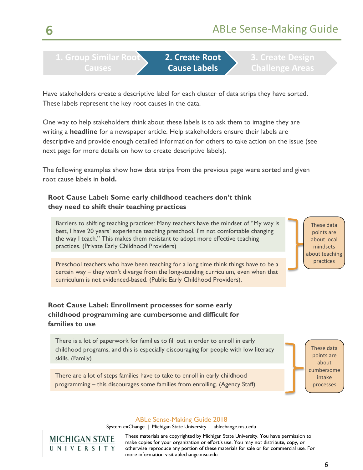**1. Group Similar Root Causes**

**2. Create Root Cause Labels**

Have stakeholders create a descriptive label for each cluster of data strips they have sorted. These labels represent the key root causes in the data.

One way to help stakeholders think about these labels is to ask them to imagine they are writing a **headline** for a newspaper article. Help stakeholders ensure their labels are descriptive and provide enough detailed information for others to take action on the issue (see next page for more details on how to create descriptive labels).

The following examples show how data strips from the previous page were sorted and given root cause labels in **bold.** 

## **Root Cause Label: Some early childhood teachers don't think they need to shift their teaching practices**

Barriers to shifting teaching practices: Many teachers have the mindset of "My way is best, I have 20 years' experience teaching preschool, I'm not comfortable changing the way I teach." This makes them resistant to adopt more effective teaching practices. (Private Early Childhood Providers)

Preschool teachers who have been teaching for a long time think things have to be a certain way – they won't diverge from the long-standing curriculum, even when that curriculum is not evidenced-based. (Public Early Childhood Providers).

## **Root Cause Label: Enrollment processes for some early childhood programming are cumbersome and difficult for families to use**

There is a lot of paperwork for families to fill out in order to enroll in early childhood programs, and this is especially discouraging for people with low literacy skills. (Family)

There are a lot of steps families have to take to enroll in early childhood programming – this discourages some families from enrolling. (Agency Staff)

These data points are about local mindsets about teaching practices

These data points are about cumbersome intake processes

### ABLe Sense-Making Guide 2018

System exChange | Michigan State University | ablechange.msu.edu

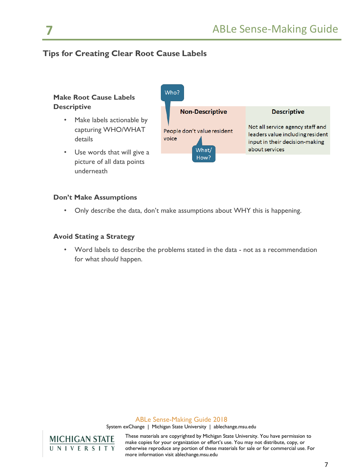## **Tips for Creating Clear Root Cause Labels**

## **Make Root Cause Labels Descriptive**

- Make labels actionable by capturing WHO/WHAT details
- Use words that will give a picture of all data points underneath



### **Don't Make Assumptions**

• Only describe the data, don't make assumptions about WHY this is happening.

#### **Avoid Stating a Strategy**

• Word labels to describe the problems stated in the data - not as a recommendation for what *should* happen.

#### ABLe Sense-Making Guide 2018

System exChange | Michigan State University | ablechange.msu.edu



These materials are copyrighted by Michigan State University. You have permission to make copies for your organization or effort's use. You may not distribute, copy, or otherwise reproduce any portion of these materials for sale or for commercial use. For more information visit ablechange.msu.edu

7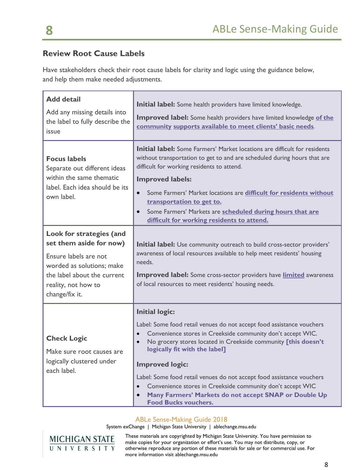## **Review Root Cause Labels**

Have stakeholders check their root cause labels for clarity and logic using the guidance below, and help them make needed adjustments.

| <b>Add detail</b><br>Add any missing details into<br>the label to fully describe the<br>issue                                                                                     | <b>Initial label:</b> Some health providers have limited knowledge.<br>Improved label: Some health providers have limited knowledge of the<br>community supports available to meet clients' basic needs.                                                                                                                                                                                                                                                                                                                                                         |
|-----------------------------------------------------------------------------------------------------------------------------------------------------------------------------------|------------------------------------------------------------------------------------------------------------------------------------------------------------------------------------------------------------------------------------------------------------------------------------------------------------------------------------------------------------------------------------------------------------------------------------------------------------------------------------------------------------------------------------------------------------------|
| <b>Focus labels</b><br>Separate out different ideas<br>within the same thematic<br>label. Each idea should be its<br>own label.                                                   | <b>Initial label:</b> Some Farmers' Market locations are difficult for residents<br>without transportation to get to and are scheduled during hours that are<br>difficult for working residents to attend.<br><b>Improved labels:</b><br>Some Farmers' Market locations are difficult for residents without<br>$\bullet$<br>transportation to get to.<br>Some Farmers' Markets are scheduled during hours that are<br>$\bullet$<br>difficult for working residents to attend.                                                                                    |
| Look for strategies (and<br>set them aside for now)<br>Ensure labels are not<br>worded as solutions; make<br>the label about the current<br>reality, not how to<br>change/fix it. | <b>Initial label:</b> Use community outreach to build cross-sector providers'<br>awareness of local resources available to help meet residents' housing<br>needs.<br><b>Improved label:</b> Some cross-sector providers have <i>limited</i> awareness<br>of local resources to meet residents' housing needs.                                                                                                                                                                                                                                                    |
| <b>Check Logic</b><br>Make sure root causes are<br>logically clustered under<br>each label.                                                                                       | <b>Initial logic:</b><br>Label: Some food retail venues do not accept food assistance vouchers<br>Convenience stores in Creekside community don't accept WIC.<br>$\bullet$<br>No grocery stores located in Creekside community [this doesn't<br>$\bullet$<br>logically fit with the label]<br><b>Improved logic:</b><br>Label: Some food retail venues do not accept food assistance vouchers<br>Convenience stores in Creekside community don't accept WIC<br>$\bullet$<br>Many Farmers' Markets do not accept SNAP or Double Up<br><b>Food Bucks vouchers.</b> |

## ABLe Sense-Making Guide 2018

System exChange | Michigan State University | ablechange.msu.edu

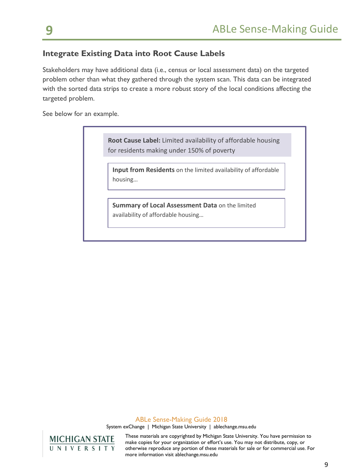## **Integrate Existing Data into Root Cause Labels**

Stakeholders may have additional data (i.e., census or local assessment data) on the targeted problem other than what they gathered through the system scan. This data can be integrated with the sorted data strips to create a more robust story of the local conditions affecting the targeted problem.

See below for an example.

|         | <b>Root Cause Label:</b> Limited availability of affordable housing<br>for residents making under 150% of poverty |
|---------|-------------------------------------------------------------------------------------------------------------------|
| housing | <b>Input from Residents</b> on the limited availability of affordable                                             |
|         | Summary of Local Assessment Data on the limited<br>availability of affordable housing                             |

### ABLe Sense-Making Guide 2018

System exChange | Michigan State University | ablechange.msu.edu

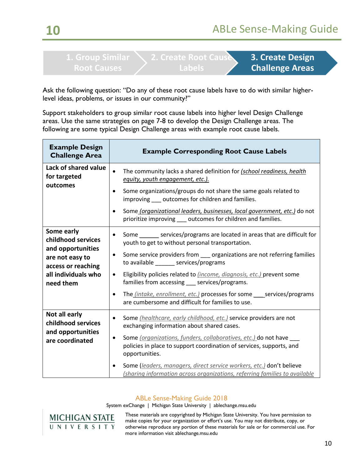# **Labels**

**3. Create Design Challenge Areas**

Ask the following question: "Do any of these root cause labels have to do with similar higherlevel ideas, problems, or issues in our community?"

Support stakeholders to group similar root cause labels into higher level Design Challenge areas. Use the same strategies on page 7-8 to develop the Design Challenge areas. The following are some typical Design Challenge areas with example root cause labels.

| <b>Example Design</b><br><b>Challenge Area</b>                                                                                     | <b>Example Corresponding Root Cause Labels</b>                                                                                                                                                                                                                                                                                                                                                                                                                                                                                                              |
|------------------------------------------------------------------------------------------------------------------------------------|-------------------------------------------------------------------------------------------------------------------------------------------------------------------------------------------------------------------------------------------------------------------------------------------------------------------------------------------------------------------------------------------------------------------------------------------------------------------------------------------------------------------------------------------------------------|
| Lack of shared value<br>for targeted<br>outcomes                                                                                   | The community lacks a shared definition for (school readiness, health<br>$\bullet$<br>equity, youth engagement, etc.).<br>Some organizations/groups do not share the same goals related to<br>improving ___ outcomes for children and families.<br>Some (organizational leaders, businesses, local government, etc.) do not<br>٠<br>prioritize improving __ outcomes for children and families.                                                                                                                                                             |
| Some early<br>childhood services<br>and opportunities<br>are not easy to<br>access or reaching<br>all individuals who<br>need them | Some services/programs are located in areas that are difficult for<br>$\bullet$<br>youth to get to without personal transportation.<br>Some service providers from __ organizations are not referring families<br>٠<br>to available ________ services/programs<br>Eligibility policies related to <i>(income, diagnosis, etc.)</i> prevent some<br>$\bullet$<br>families from accessing ___ services/programs.<br>The <i>(intake, enrollment, etc.)</i> processes for some ____ services/programs<br>٠<br>are cumbersome and difficult for families to use. |
| Not all early<br>childhood services<br>and opportunities<br>are coordinated                                                        | Some (healthcare, early childhood, etc.) service providers are not<br>$\bullet$<br>exchanging information about shared cases.<br>Some (organizations, funders, collaboratives, etc.) do not have<br>policies in place to support coordination of services, supports, and<br>opportunities.<br>Some (leaders, managers, direct service workers, etc.) don't believe<br>٠<br>(sharing information across organizations, referring families to available                                                                                                       |

## ABLe Sense-Making Guide 2018

System exChange | Michigan State University | ablechange.msu.edu

**MICHIGAN STATE** UNIVERSITY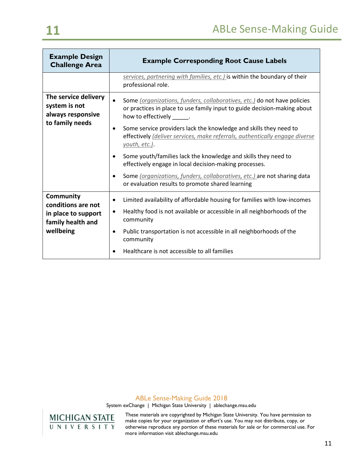| <b>Example Design</b><br><b>Challenge Area</b>             | <b>Example Corresponding Root Cause Labels</b>                                                                                                                                                  |
|------------------------------------------------------------|-------------------------------------------------------------------------------------------------------------------------------------------------------------------------------------------------|
|                                                            | services, partnering with families, etc.) is within the boundary of their<br>professional role.                                                                                                 |
| The service delivery<br>system is not<br>always responsive | Some (organizations, funders, collaboratives, etc.) do not have policies<br>$\bullet$<br>or practices in place to use family input to guide decision-making about<br>how to effectively ______. |
| to family needs                                            | Some service providers lack the knowledge and skills they need to<br>٠<br>effectively (deliver services, make referrals, authentically engage diverse<br>youth, etc.).                          |
|                                                            | Some youth/families lack the knowledge and skills they need to<br>effectively engage in local decision-making processes.                                                                        |
|                                                            | Some (organizations, funders, collaboratives, etc.) are not sharing data<br>or evaluation results to promote shared learning                                                                    |
| Community<br>conditions are not                            | Limited availability of affordable housing for families with low-incomes                                                                                                                        |
| in place to support<br>family health and                   | Healthy food is not available or accessible in all neighborhoods of the<br>$\bullet$<br>community                                                                                               |
| wellbeing                                                  | Public transportation is not accessible in all neighborhoods of the<br>٠<br>community                                                                                                           |
|                                                            | Healthcare is not accessible to all families                                                                                                                                                    |

### ABLe Sense-Making Guide 2018

System exChange | Michigan State University | ablechange.msu.edu

**MICHIGAN STATE**<br>UNIVERSITY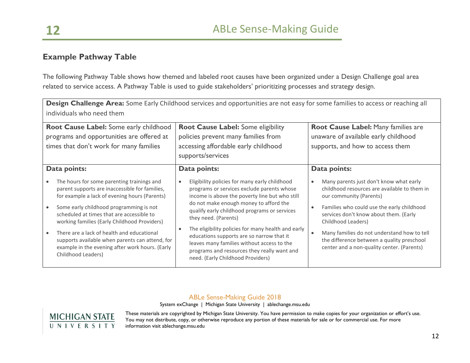## **Example Pathway Table**

The following Pathway Table shows how themed and labeled root causes have been organized under a Design Challenge goal area related to service access. A Pathway Table is used to guide stakeholders' prioritizing processes and strategy design.

**Design Challenge Area:** Some Early Childhood services and opportunities are not easy for some families to access or reaching all

| individuals who need them                                                                                                                                                                                                                                                                                                                                                                                                                                       | Design Challenge Area: Some Early Childhood Services and opportunities are not easy for some families to access or reaching all                                                                                                                                                                                                                                                                                                                                                                                                |                                                                                                                                                                                                                                                                                                                                                                                                       |  |  |
|-----------------------------------------------------------------------------------------------------------------------------------------------------------------------------------------------------------------------------------------------------------------------------------------------------------------------------------------------------------------------------------------------------------------------------------------------------------------|--------------------------------------------------------------------------------------------------------------------------------------------------------------------------------------------------------------------------------------------------------------------------------------------------------------------------------------------------------------------------------------------------------------------------------------------------------------------------------------------------------------------------------|-------------------------------------------------------------------------------------------------------------------------------------------------------------------------------------------------------------------------------------------------------------------------------------------------------------------------------------------------------------------------------------------------------|--|--|
| Root Cause Label: Some early childhood<br>programs and opportunities are offered at<br>times that don't work for many families                                                                                                                                                                                                                                                                                                                                  | <b>Root Cause Label:</b> Some eligibility<br>policies prevent many families from<br>accessing affordable early childhood<br>supports/services                                                                                                                                                                                                                                                                                                                                                                                  | Root Cause Label: Many families are<br>unaware of available early childhood<br>supports, and how to access them                                                                                                                                                                                                                                                                                       |  |  |
| Data points:                                                                                                                                                                                                                                                                                                                                                                                                                                                    | Data points:                                                                                                                                                                                                                                                                                                                                                                                                                                                                                                                   | Data points:                                                                                                                                                                                                                                                                                                                                                                                          |  |  |
| The hours for some parenting trainings and<br>parent supports are inaccessible for families,<br>for example a lack of evening hours (Parents)<br>Some early childhood programming is not<br>scheduled at times that are accessible to<br>working families (Early Childhood Providers)<br>There are a lack of health and educational<br>supports available when parents can attend, for<br>example in the evening after work hours. (Early<br>Childhood Leaders) | Eligibility policies for many early childhood<br>$\bullet$<br>programs or services exclude parents whose<br>income is above the poverty line but who still<br>do not make enough money to afford the<br>qualify early childhood programs or services<br>they need. (Parents)<br>The eligibility policies for many health and early<br>$\bullet$<br>educations supports are so narrow that it<br>leaves many families without access to the<br>programs and resources they really want and<br>need. (Early Childhood Providers) | Many parents just don't know what early<br>$\bullet$<br>childhood resources are available to them in<br>our community (Parents)<br>Families who could use the early childhood<br>$\bullet$<br>services don't know about them. (Early<br>Childhood Leaders)<br>Many families do not understand how to tell<br>the difference between a quality preschool<br>center and a non-quality center. (Parents) |  |  |

### ABLe Sense-Making Guide 2018

System exChange | Michigan State University | ablechange.msu.edu

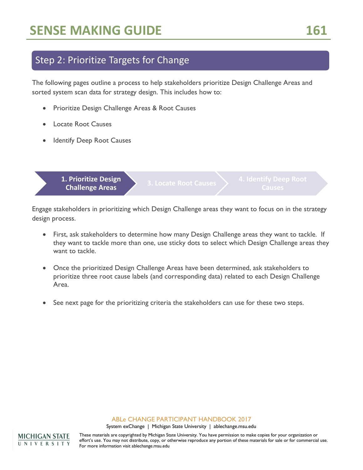## Step 2: Prioritize Targets for Change

The following pages outline a process to help stakeholders prioritize Design Challenge Areas and sorted system scan data for strategy design. This includes how to:

- Prioritize Design Challenge Areas & Root Causes
- Locate Root Causes
- **Identify Deep Root Causes**

**1. Prioritize Design Challenge Areas 3. Locate Root Causes 4. Identify Deep Root Challenge Areas** 

Engage stakeholders in prioritizing which Design Challenge areas they want to focus on in the strategy design process.

- First, ask stakeholders to determine how many Design Challenge areas they want to tackle. If they want to tackle more than one, use sticky dots to select which Design Challenge areas they want to tackle.
- Once the prioritized Design Challenge Areas have been determined, ask stakeholders to prioritize three root cause labels (and corresponding data) related to each Design Challenge Area.
- See next page for the prioritizing criteria the stakeholders can use for these two steps.

#### ABLe CHANGE PARTICIPANT HANDBOOK 2017

System exChange | Michigan State University | ablechange.msu.edu

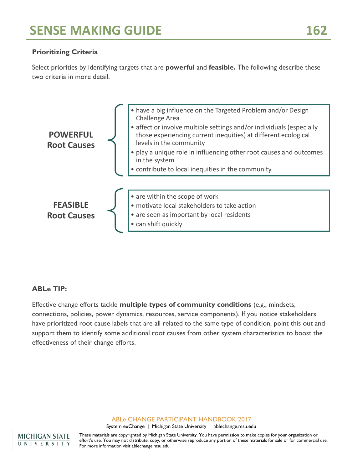## **Prioritizing Criteria**

Select priorities by identifying targets that are **powerful** and **feasible.** The following describe these two criteria in more detail.



## **ABLe TIP:**

Effective change efforts tackle **multiple types of community conditions** (e.g., mindsets, connections, policies, power dynamics, resources, service components). If you notice stakeholders have prioritized root cause labels that are all related to the same type of condition, point this out and support them to identify some additional root causes from other system characteristics to boost the effectiveness of their change efforts.

#### ABLe CHANGE PARTICIPANT HANDBOOK 2017

System exChange | Michigan State University | ablechange.msu.edu

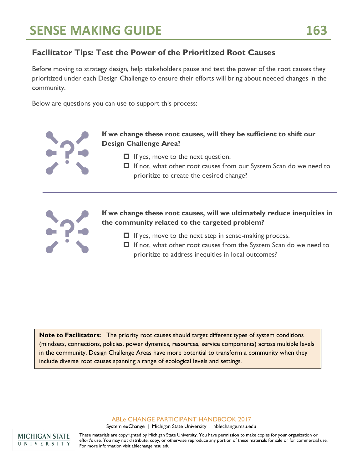## **Facilitator Tips: Test the Power of the Prioritized Root Causes**

Before moving to strategy design, help stakeholders pause and test the power of the root causes they prioritized under each Design Challenge to ensure their efforts will bring about needed changes in the community.

Below are questions you can use to support this process:



- $\Box$  If yes, move to the next question.
- □ If not, what other root causes from our System Scan do we need to prioritize to create the desired change?



**If we change these root causes, will we ultimately reduce inequities in the community related to the targeted problem?**

- $\Box$  If yes, move to the next step in sense-making process.
- $\Box$  If not, what other root causes from the System Scan do we need to prioritize to address inequities in local outcomes?

**Note to Facilitators:** The priority root causes should target different types of system conditions (mindsets, connections, policies, power dynamics, resources, service components) across multiple levels in the community. Design Challenge Areas have more potential to transform a community when they include diverse root causes spanning a range of ecological levels and settings.

ABLe CHANGE PARTICIPANT HANDBOOK 2017

System exChange | Michigan State University | ablechange.msu.edu

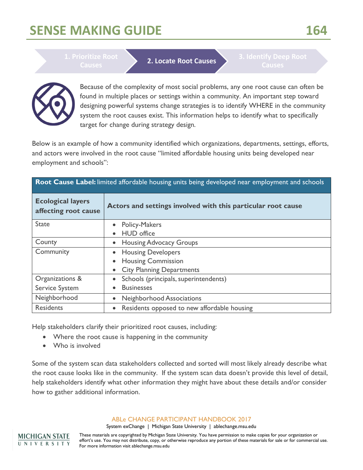# **SENSE MAKING GUIDE 164**

**Causes 2. Locate Root Causes 2. Locate Root Causes 2. Identify Deep Root** 



Because of the complexity of most social problems, any one root cause can often be found in multiple places or settings within a community. An important step toward designing powerful systems change strategies is to identify WHERE in the community system the root causes exist. This information helps to identify what to specifically target for change during strategy design.

Below is an example of how a community identified which organizations, departments, settings, efforts, and actors were involved in the root cause "limited affordable housing units being developed near employment and schools":

|                                                  | Root Cause Label: limited affordable housing units being developed near employment and schools |  |  |  |  |
|--------------------------------------------------|------------------------------------------------------------------------------------------------|--|--|--|--|
| <b>Ecological layers</b><br>affecting root cause | Actors and settings involved with this particular root cause                                   |  |  |  |  |
| <b>State</b>                                     | <b>Policy-Makers</b>                                                                           |  |  |  |  |
|                                                  | <b>HUD</b> office<br>$\bullet$                                                                 |  |  |  |  |
| County                                           | <b>Housing Advocacy Groups</b><br>$\bullet$                                                    |  |  |  |  |
| Community                                        | <b>Housing Developers</b><br>$\bullet$                                                         |  |  |  |  |
|                                                  | <b>Housing Commission</b><br>$\bullet$                                                         |  |  |  |  |
|                                                  | <b>City Planning Departments</b><br>$\bullet$                                                  |  |  |  |  |
| Organizations &                                  | Schools (principals, superintendents)<br>$\bullet$                                             |  |  |  |  |
| Service System                                   | <b>Businesses</b><br>$\bullet$                                                                 |  |  |  |  |
| Neighborhood                                     | Neighborhood Associations<br>$\bullet$                                                         |  |  |  |  |
| <b>Residents</b>                                 | Residents opposed to new affordable housing<br>$\bullet$                                       |  |  |  |  |

Help stakeholders clarify their prioritized root causes, including:

- Where the root cause is happening in the community
- Who is involved

Some of the system scan data stakeholders collected and sorted will most likely already describe what the root cause looks like in the community. If the system scan data doesn't provide this level of detail, help stakeholders identify what other information they might have about these details and/or consider how to gather additional information.

### ABLe CHANGE PARTICIPANT HANDBOOK 2017

System exChange | Michigan State University | ablechange.msu.edu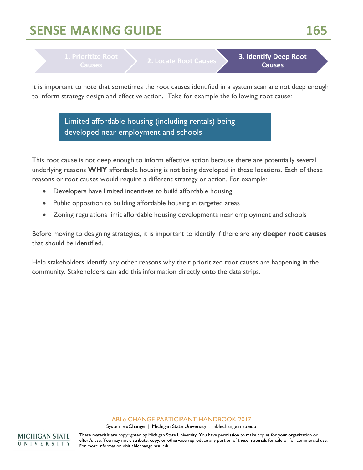# **SENSE MAKING GUIDE 165**

**Causes 2. Locate Root Causes 3. Identify Deep Root Causes Causes**

It is important to note that sometimes the root causes identified in a system scan are not deep enough to inform strategy design and effective action**.** Take for example the following root cause:

> Limited affordable housing (including rentals) being developed near employment and schools

This root cause is not deep enough to inform effective action because there are potentially several underlying reasons **WHY** affordable housing is not being developed in these locations. Each of these reasons or root causes would require a different strategy or action. For example:

- Developers have limited incentives to build affordable housing
- Public opposition to building affordable housing in targeted areas
- Zoning regulations limit affordable housing developments near employment and schools

Before moving to designing strategies, it is important to identify if there are any **deeper root causes** that should be identified.

Help stakeholders identify any other reasons why their prioritized root causes are happening in the community. Stakeholders can add this information directly onto the data strips.

### ABLe CHANGE PARTICIPANT HANDBOOK 2017

System exChange | Michigan State University | ablechange.msu.edu

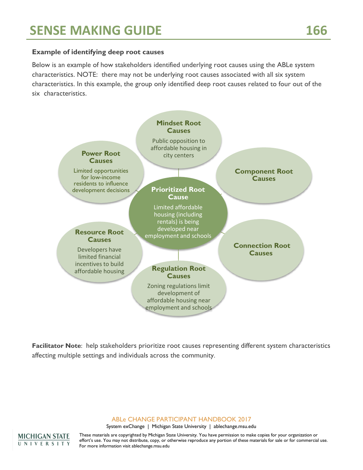## **Example of identifying deep root causes**

Below is an example of how stakeholders identified underlying root causes using the ABLe system characteristics. NOTE: there may not be underlying root causes associated with all six system characteristics. In this example, the group only identified deep root causes related to four out of the six characteristics.



**Facilitator Note**: help stakeholders prioritize root causes representing different system characteristics affecting multiple settings and individuals across the community.

ABLe CHANGE PARTICIPANT HANDBOOK 2017

System exChange | Michigan State University | ablechange.msu.edu

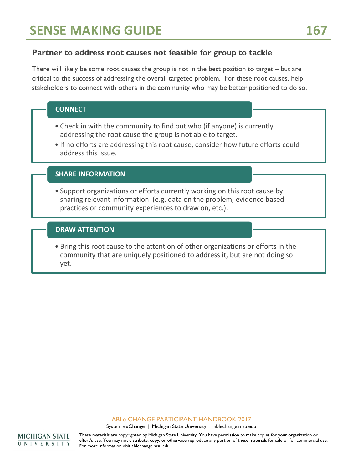## **Partner to address root causes not feasible for group to tackle**

There will likely be some root causes the group is not in the best position to target – but are critical to the success of addressing the overall targeted problem. For these root causes, help stakeholders to connect with others in the community who may be better positioned to do so.

|  |  | <b>CONNECT</b> |
|--|--|----------------|
|  |  |                |

- Check in with the community to find out who (if anyone) is currently addressing the root cause the group is not able to target.
- If no efforts are addressing this root cause, consider how future efforts could address this issue.

## **SHARE INFORMATION**

• Support organizations or efforts currently working on this root cause by sharing relevant information (e.g. data on the problem, evidence based practices or community experiences to draw on, etc.).

### **DRAW ATTENTION**

• Bring this root cause to the attention of other organizations or efforts in the community that are uniquely positioned to address it, but are not doing so yet.

#### ABLe CHANGE PARTICIPANT HANDBOOK 2017

System exChange | Michigan State University | ablechange.msu.edu

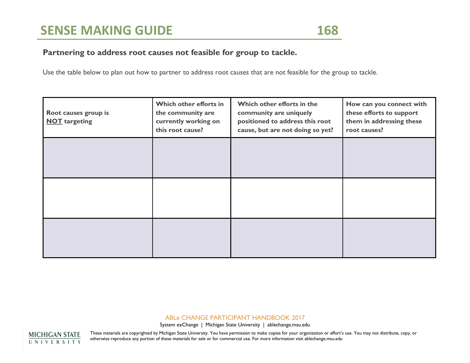## **Partnering to address root causes not feasible for group to tackle.**

Use the table below to plan out how to partner to address root causes that are not feasible for the group to tackle.

| Root causes group is<br><b>NOT</b> targeting | Which other efforts in<br>the community are<br>currently working on<br>this root cause? | Which other efforts in the<br>community are uniquely<br>positioned to address this root<br>cause, but are not doing so yet? | How can you connect with<br>these efforts to support<br>them in addressing these<br>root causes? |
|----------------------------------------------|-----------------------------------------------------------------------------------------|-----------------------------------------------------------------------------------------------------------------------------|--------------------------------------------------------------------------------------------------|
|                                              |                                                                                         |                                                                                                                             |                                                                                                  |
|                                              |                                                                                         |                                                                                                                             |                                                                                                  |
|                                              |                                                                                         |                                                                                                                             |                                                                                                  |

#### ABLe CHANGE PARTICIPANT HANDBOOK 2017

System exChange | Michigan State University | ablechange.msu.edu